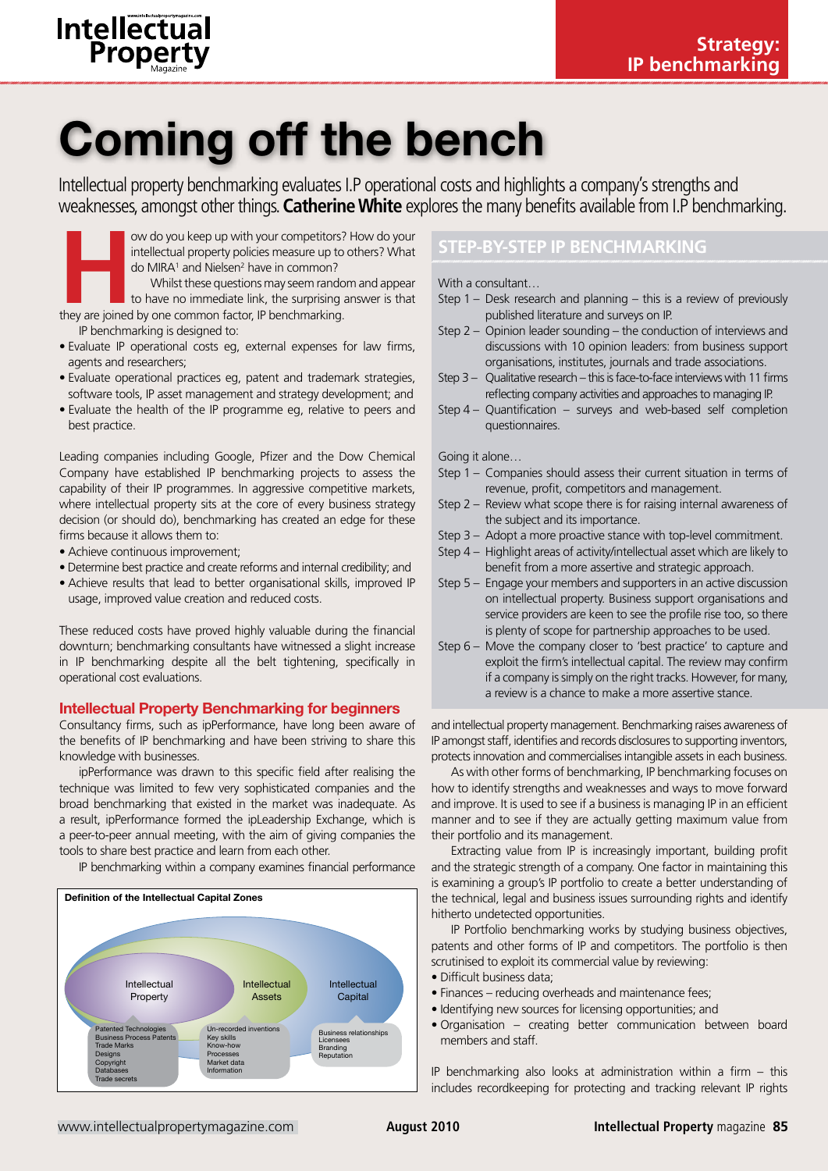

# Coming off the bench

Intellectual property benchmarking evaluates I.P operational costs and highlights a company's strengths and weaknesses, amongst other things. **Catherine White** explores the many benefits available from I.P benchmarking.



- Evaluate IP operational costs eg, external expenses for law firms, agents and researchers;
- Evaluate operational practices eg, patent and trademark strategies, software tools, IP asset management and strategy development; and
- Evaluate the health of the IP programme eg, relative to peers and best practice.

Leading companies including Google, Pfizer and the Dow Chemical Company have established IP benchmarking projects to assess the capability of their IP programmes. In aggressive competitive markets, where intellectual property sits at the core of every business strategy decision (or should do), benchmarking has created an edge for these firms because it allows them to:

- Achieve continuous improvement;
- Determine best practice and create reforms and internal credibility; and
- Achieve results that lead to better organisational skills, improved IP usage, improved value creation and reduced costs.

These reduced costs have proved highly valuable during the financial downturn; benchmarking consultants have witnessed a slight increase in IP benchmarking despite all the belt tightening, specifically in operational cost evaluations.

## Intellectual Property Benchmarking for beginners

Consultancy firms, such as ipPerformance, have long been aware of the benefits of IP benchmarking and have been striving to share this knowledge with businesses.

ipPerformance was drawn to this specific field after realising the technique was limited to few very sophisticated companies and the broad benchmarking that existed in the market was inadequate. As a result, ipPerformance formed the ipLeadership Exchange, which is a peer-to-peer annual meeting, with the aim of giving companies the tools to share best practice and learn from each other.

IP benchmarking within a company examines financial performance



# **STEP-BY-STEP IP BENCHMARKING**

With a consultant…

- Step 1 Desk research and planning this is a review of previously published literature and surveys on IP.
- Step 2 Opinion leader sounding the conduction of interviews and discussions with 10 opinion leaders: from business support organisations, institutes, journals and trade associations.
- Step 3 Qualitative research this is face-to-face interviews with 11 firms reflecting company activities and approaches to managing IP.
- Step 4 Quantification surveys and web-based self completion questionnaires.

Going it alone…

- Step 1 Companies should assess their current situation in terms of revenue, profit, competitors and management.
- Step 2 Review what scope there is for raising internal awareness of the subject and its importance.
- Step 3 Adopt a more proactive stance with top-level commitment.
- Step 4 Highlight areas of activity/intellectual asset which are likely to benefit from a more assertive and strategic approach.
- Step 5 Engage your members and supporters in an active discussion on intellectual property. Business support organisations and service providers are keen to see the profile rise too, so there is plenty of scope for partnership approaches to be used.
- Step 6 Move the company closer to 'best practice' to capture and exploit the firm's intellectual capital. The review may confirm if a company is simply on the right tracks. However, for many, a review is a chance to make a more assertive stance.

and intellectual property management. Benchmarking raises awareness of IP amongst staff, identifies and records disclosures to supporting inventors, protects innovation and commercialises intangible assets in each business.

As with other forms of benchmarking, IP benchmarking focuses on how to identify strengths and weaknesses and ways to move forward and improve. It is used to see if a business is managing IP in an efficient manner and to see if they are actually getting maximum value from their portfolio and its management.

Extracting value from IP is increasingly important, building profit and the strategic strength of a company. One factor in maintaining this is examining a group's IP portfolio to create a better understanding of the technical, legal and business issues surrounding rights and identify hitherto undetected opportunities.

IP Portfolio benchmarking works by studying business objectives, patents and other forms of IP and competitors. The portfolio is then scrutinised to exploit its commercial value by reviewing:

- Difficult business data;
- Finances reducing overheads and maintenance fees;
- Identifying new sources for licensing opportunities; and
- Organisation creating better communication between board members and staff.

IP benchmarking also looks at administration within a firm – this includes recordkeeping for protecting and tracking relevant IP rights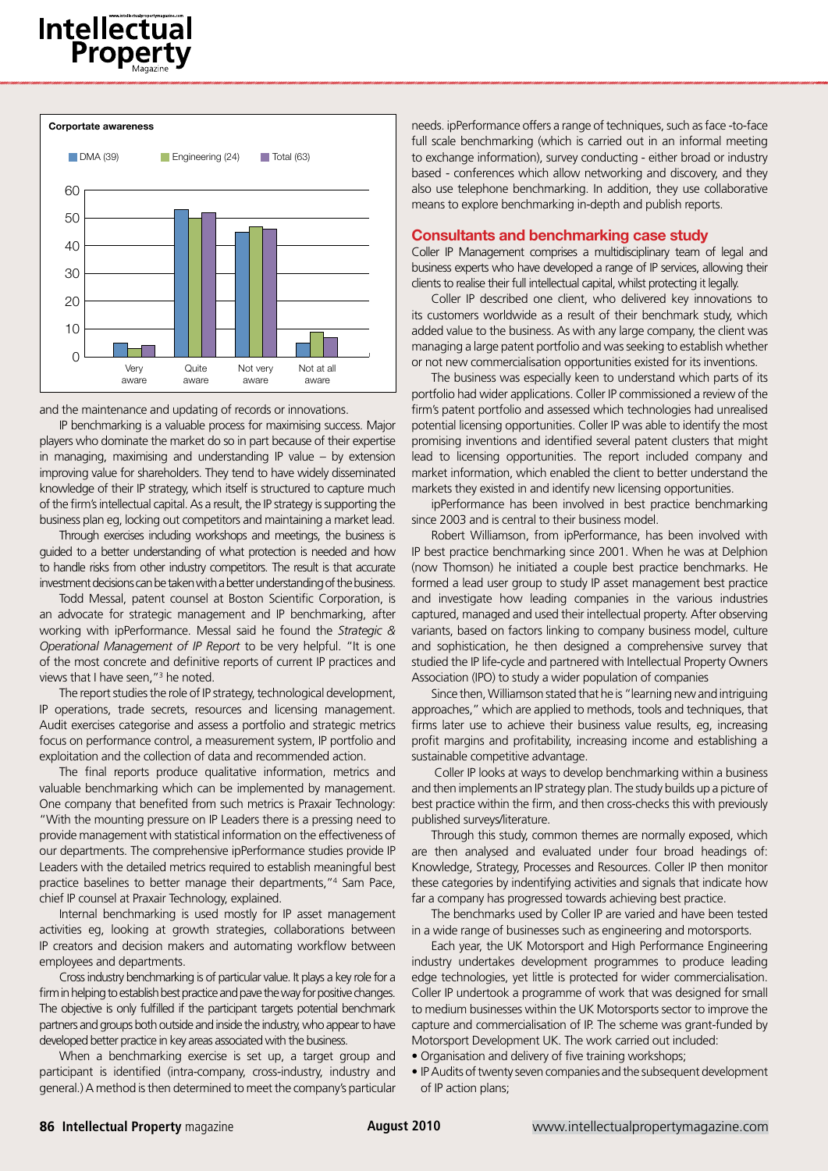



and the maintenance and updating of records or innovations.

IP benchmarking is a valuable process for maximising success. Major players who dominate the market do so in part because of their expertise in managing, maximising and understanding IP value – by extension improving value for shareholders. They tend to have widely disseminated knowledge of their IP strategy, which itself is structured to capture much of the firm's intellectual capital. As a result, the IP strategy is supporting the business plan eg, locking out competitors and maintaining a market lead.

Through exercises including workshops and meetings, the business is guided to a better understanding of what protection is needed and how to handle risks from other industry competitors. The result is that accurate investment decisions can be taken with a better understanding of the business.

Todd Messal, patent counsel at Boston Scientific Corporation, is an advocate for strategic management and IP benchmarking, after working with ipPerformance. Messal said he found the *Strategic & Operational Management of IP Report* to be very helpful. "It is one of the most concrete and definitive reports of current IP practices and views that I have seen,"<sup>3</sup> he noted.

The report studies the role of IP strategy, technological development, IP operations, trade secrets, resources and licensing management. Audit exercises categorise and assess a portfolio and strategic metrics focus on performance control, a measurement system, IP portfolio and exploitation and the collection of data and recommended action.

The final reports produce qualitative information, metrics and valuable benchmarking which can be implemented by management. One company that benefited from such metrics is Praxair Technology: "With the mounting pressure on IP Leaders there is a pressing need to provide management with statistical information on the effectiveness of our departments. The comprehensive ipPerformance studies provide IP Leaders with the detailed metrics required to establish meaningful best practice baselines to better manage their departments,"4 Sam Pace, chief IP counsel at Praxair Technology, explained.

Internal benchmarking is used mostly for IP asset management activities eg, looking at growth strategies, collaborations between IP creators and decision makers and automating workflow between employees and departments.

Cross industry benchmarking is of particular value. It plays a key role for a firm in helping to establish best practice and pave the way for positive changes. The objective is only fulfilled if the participant targets potential benchmark partners and groups both outside and inside the industry, who appear to have developed better practice in key areas associated with the business.

When a benchmarking exercise is set up, a target group and participant is identified (intra-company, cross-industry, industry and general.) A method is then determined to meet the company's particular needs. ipPerformance offers a range of techniques, such as face -to-face full scale benchmarking (which is carried out in an informal meeting to exchange information), survey conducting - either broad or industry based - conferences which allow networking and discovery, and they also use telephone benchmarking. In addition, they use collaborative means to explore benchmarking in-depth and publish reports.

#### Consultants and benchmarking case study

Coller IP Management comprises a multidisciplinary team of legal and business experts who have developed a range of IP services, allowing their clients to realise their full intellectual capital, whilst protecting it legally.

Coller IP described one client, who delivered key innovations to its customers worldwide as a result of their benchmark study, which added value to the business. As with any large company, the client was managing a large patent portfolio and was seeking to establish whether or not new commercialisation opportunities existed for its inventions.

The business was especially keen to understand which parts of its portfolio had wider applications. Coller IP commissioned a review of the firm's patent portfolio and assessed which technologies had unrealised potential licensing opportunities. Coller IP was able to identify the most promising inventions and identified several patent clusters that might lead to licensing opportunities. The report included company and market information, which enabled the client to better understand the markets they existed in and identify new licensing opportunities.

ipPerformance has been involved in best practice benchmarking since 2003 and is central to their business model.

Robert Williamson, from ipPerformance, has been involved with IP best practice benchmarking since 2001. When he was at Delphion (now Thomson) he initiated a couple best practice benchmarks. He formed a lead user group to study IP asset management best practice and investigate how leading companies in the various industries captured, managed and used their intellectual property. After observing variants, based on factors linking to company business model, culture and sophistication, he then designed a comprehensive survey that studied the IP life-cycle and partnered with Intellectual Property Owners Association (IPO) to study a wider population of companies

Since then, Williamson stated that he is "learning new and intriguing approaches," which are applied to methods, tools and techniques, that firms later use to achieve their business value results, eg, increasing profit margins and profitability, increasing income and establishing a sustainable competitive advantage.

 Coller IP looks at ways to develop benchmarking within a business and then implements an IP strategy plan. The study builds up a picture of best practice within the firm, and then cross-checks this with previously published surveys/literature.

Through this study, common themes are normally exposed, which are then analysed and evaluated under four broad headings of: Knowledge, Strategy, Processes and Resources. Coller IP then monitor these categories by indentifying activities and signals that indicate how far a company has progressed towards achieving best practice.

The benchmarks used by Coller IP are varied and have been tested in a wide range of businesses such as engineering and motorsports.

Each year, the UK Motorsport and High Performance Engineering industry undertakes development programmes to produce leading edge technologies, yet little is protected for wider commercialisation. Coller IP undertook a programme of work that was designed for small to medium businesses within the UK Motorsports sector to improve the capture and commercialisation of IP. The scheme was grant-funded by Motorsport Development UK. The work carried out included:

- Organisation and delivery of five training workshops;
- IP Audits of twenty seven companies and the subsequent development of IP action plans;